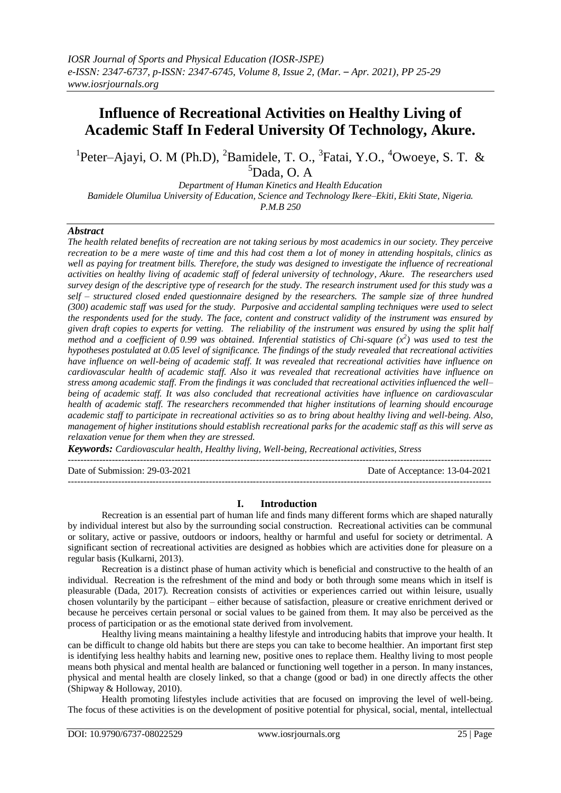# **Influence of Recreational Activities on Healthy Living of Academic Staff In Federal University Of Technology, Akure.**

<sup>1</sup>Peter–Ajayi, O. M (Ph.D), <sup>2</sup>Bamidele, T. O., <sup>3</sup>Fatai, Y.O., <sup>4</sup>Owoeye, S. T. &  $5$ Dada, O. A

*Department of Human Kinetics and Health Education Bamidele Olumilua University of Education, Science and Technology Ikere–Ekiti, Ekiti State, Nigeria. P.M.B 250*

### *Abstract*

*The health related benefits of recreation are not taking serious by most academics in our society. They perceive recreation to be a mere waste of time and this had cost them a lot of money in attending hospitals, clinics as well as paying for treatment bills. Therefore, the study was designed to investigate the influence of recreational activities on healthy living of academic staff of federal university of technology, Akure. The researchers used survey design of the descriptive type of research for the study. The research instrument used for this study was a self – structured closed ended questionnaire designed by the researchers. The sample size of three hundred (300) academic staff was used for the study. Purposive and accidental sampling techniques were used to select the respondents used for the study. The face, content and construct validity of the instrument was ensured by given draft copies to experts for vetting. The reliability of the instrument was ensured by using the split half method and a coefficient of 0.99 was obtained. Inferential statistics of Chi-square*  $(x^2)$  *was used to test the hypotheses postulated at 0.05 level of significance. The findings of the study revealed that recreational activities have influence on well-being of academic staff. It was revealed that recreational activities have influence on cardiovascular health of academic staff. Also it was revealed that recreational activities have influence on stress among academic staff. From the findings it was concluded that recreational activities influenced the well– being of academic staff. It was also concluded that recreational activities have influence on cardiovascular health of academic staff. The researchers recommended that higher institutions of learning should encourage academic staff to participate in recreational activities so as to bring about healthy living and well-being. Also, management of higher institutions should establish recreational parks for the academic staff as this will serve as relaxation venue for them when they are stressed.*

*Keywords: Cardiovascular health, Healthy living, Well-being, Recreational activities, Stress*

---------------------------------------------------------------------------------------------------------------------------------------

Date of Submission: 29-03-2021 Date of Acceptance: 13-04-2021

---------------------------------------------------------------------------------------------------------------------------------------

### **I. Introduction**

Recreation is an essential part of human life and finds many different forms which are shaped naturally by individual interest but also by the surrounding social construction. Recreational activities can be communal or solitary, active or passive, outdoors or indoors, healthy or harmful and useful for society or detrimental. A significant section of recreational activities are designed as hobbies which are activities done for pleasure on a regular basis (Kulkarni, 2013).

Recreation is a distinct phase of human activity which is beneficial and constructive to the health of an individual. Recreation is the refreshment of the mind and body or both through some means which in itself is pleasurable (Dada, 2017). Recreation consists of activities or experiences carried out within leisure, usually chosen voluntarily by the participant – either because of satisfaction, pleasure or creative enrichment derived or because he perceives certain personal or social values to be gained from them. It may also be perceived as the process of participation or as the emotional state derived from involvement.

Healthy living means maintaining a healthy lifestyle and introducing habits that improve your health. It can be difficult to change old habits but there are steps you can take to become healthier. An important first step is identifying less healthy habits and learning new, positive ones to replace them. Healthy living to most people means both physical and mental health are balanced or functioning well together in a person. In many instances, physical and mental health are closely linked, so that a change (good or bad) in one directly affects the other (Shipway & Holloway, 2010).

Health promoting lifestyles include activities that are focused on improving the level of well-being. The focus of these activities is on the development of positive potential for physical, social, mental, intellectual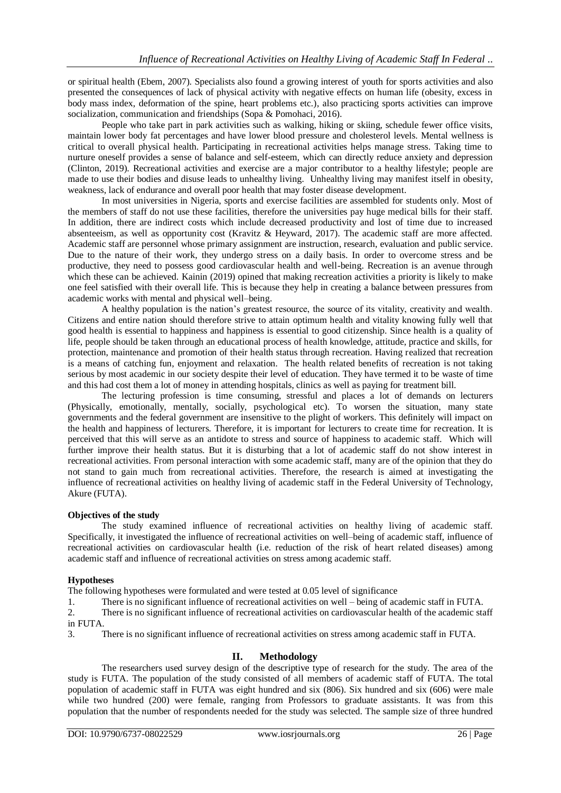or spiritual health (Ebem, 2007). Specialists also found a growing interest of youth for sports activities and also presented the consequences of lack of physical activity with negative effects on human life (obesity, excess in body mass index, deformation of the spine, heart problems etc.), also practicing sports activities can improve socialization, communication and friendships (Sopa & Pomohaci, 2016).

People who take part in park activities such as walking, hiking or skiing, schedule fewer office visits, maintain lower body fat percentages and have lower blood pressure and cholesterol levels. Mental wellness is critical to overall physical health. Participating in recreational activities helps manage stress. Taking time to nurture oneself provides a sense of balance and self-esteem, which can directly reduce anxiety and depression (Clinton, 2019). Recreational activities and exercise are a major contributor to a healthy lifestyle; people are made to use their bodies and disuse leads to unhealthy living. Unhealthy living may manifest itself in obesity, weakness, lack of endurance and overall poor health that may foster disease development.

In most universities in Nigeria, sports and exercise facilities are assembled for students only. Most of the members of staff do not use these facilities, therefore the universities pay huge medical bills for their staff. In addition, there are indirect costs which include decreased productivity and lost of time due to increased absenteeism, as well as opportunity cost (Kravitz & Heyward, 2017). The academic staff are more affected. Academic staff are personnel whose primary assignment are instruction, research, evaluation and public service. Due to the nature of their work, they undergo stress on a daily basis. In order to overcome stress and be productive, they need to possess good cardiovascular health and well-being. Recreation is an avenue through which these can be achieved. Kainin (2019) opined that making recreation activities a priority is likely to make one feel satisfied with their overall life. This is because they help in creating a balance between pressures from academic works with mental and physical well–being.

A healthy population is the nation's greatest resource, the source of its vitality, creativity and wealth. Citizens and entire nation should therefore strive to attain optimum health and vitality knowing fully well that good health is essential to happiness and happiness is essential to good citizenship. Since health is a quality of life, people should be taken through an educational process of health knowledge, attitude, practice and skills, for protection, maintenance and promotion of their health status through recreation. Having realized that recreation is a means of catching fun, enjoyment and relaxation. The health related benefits of recreation is not taking serious by most academic in our society despite their level of education. They have termed it to be waste of time and this had cost them a lot of money in attending hospitals, clinics as well as paying for treatment bill.

The lecturing profession is time consuming, stressful and places a lot of demands on lecturers (Physically, emotionally, mentally, socially, psychological etc). To worsen the situation, many state governments and the federal government are insensitive to the plight of workers. This definitely will impact on the health and happiness of lecturers. Therefore, it is important for lecturers to create time for recreation. It is perceived that this will serve as an antidote to stress and source of happiness to academic staff. Which will further improve their health status. But it is disturbing that a lot of academic staff do not show interest in recreational activities. From personal interaction with some academic staff, many are of the opinion that they do not stand to gain much from recreational activities. Therefore, the research is aimed at investigating the influence of recreational activities on healthy living of academic staff in the Federal University of Technology, Akure (FUTA).

### **Objectives of the study**

The study examined influence of recreational activities on healthy living of academic staff. Specifically, it investigated the influence of recreational activities on well–being of academic staff, influence of recreational activities on cardiovascular health (i.e. reduction of the risk of heart related diseases) among academic staff and influence of recreational activities on stress among academic staff.

### **Hypotheses**

The following hypotheses were formulated and were tested at 0.05 level of significance

1. There is no significant influence of recreational activities on well – being of academic staff in FUTA.

2. There is no significant influence of recreational activities on cardiovascular health of the academic staff in FUTA.

3. There is no significant influence of recreational activities on stress among academic staff in FUTA.

### **II. Methodology**

The researchers used survey design of the descriptive type of research for the study. The area of the study is FUTA. The population of the study consisted of all members of academic staff of FUTA. The total population of academic staff in FUTA was eight hundred and six (806). Six hundred and six (606) were male while two hundred (200) were female, ranging from Professors to graduate assistants. It was from this population that the number of respondents needed for the study was selected. The sample size of three hundred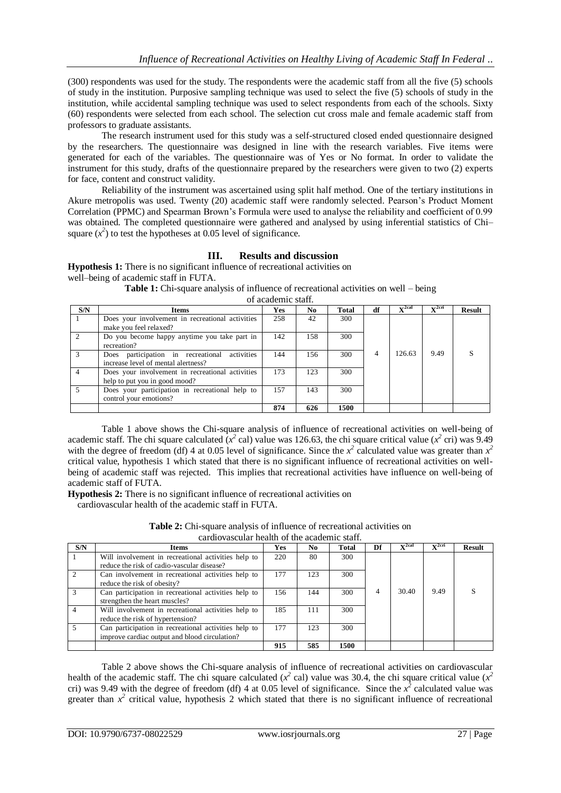(300) respondents was used for the study. The respondents were the academic staff from all the five (5) schools of study in the institution. Purposive sampling technique was used to select the five (5) schools of study in the institution, while accidental sampling technique was used to select respondents from each of the schools. Sixty (60) respondents were selected from each school. The selection cut cross male and female academic staff from professors to graduate assistants.

The research instrument used for this study was a self-structured closed ended questionnaire designed by the researchers. The questionnaire was designed in line with the research variables. Five items were generated for each of the variables. The questionnaire was of Yes or No format. In order to validate the instrument for this study, drafts of the questionnaire prepared by the researchers were given to two (2) experts for face, content and construct validity.

Reliability of the instrument was ascertained using split half method. One of the tertiary institutions in Akure metropolis was used. Twenty (20) academic staff were randomly selected. Pearson's Product Moment Correlation (PPMC) and Spearman Brown's Formula were used to analyse the reliability and coefficient of 0.99 was obtained. The completed questionnaire were gathered and analysed by using inferential statistics of Chi– square  $(x^2)$  to test the hypotheses at 0.05 level of significance.

## **III. Results and discussion**

**Hypothesis 1:** There is no significant influence of recreational activities on well–being of academic staff in FUTA.

**Table 1:** Chi-square analysis of influence of recreational activities on well – being

of academic staff.

| S/N | Items                                                                                | Yes | No  | <b>Total</b> | df | $x^2$ cal | $x^2$ cri | <b>Result</b> |
|-----|--------------------------------------------------------------------------------------|-----|-----|--------------|----|-----------|-----------|---------------|
|     | Does your involvement in recreational activities<br>make you feel relaxed?           | 258 | 42  | 300          |    |           |           |               |
|     | Do you become happy anytime you take part in<br>recreation?                          | 142 | 158 | 300          |    |           |           |               |
|     | Does participation in recreational activities<br>increase level of mental alertness? | 144 | 156 | 300          | 4  | 126.63    | 9.49      |               |
|     | Does your involvement in recreational activities<br>help to put you in good mood?    | 173 | 123 | 300          |    |           |           |               |
|     | Does your participation in recreational help to<br>control your emotions?            | 157 | 143 | 300          |    |           |           |               |
|     |                                                                                      | 874 | 626 | 1500         |    |           |           |               |

Table 1 above shows the Chi-square analysis of influence of recreational activities on well-being of academic staff. The chi square calculated  $(x^2 \text{ cal})$  value was 126.63, the chi square critical value  $(x^2 \text{ cri})$  was 9.49 with the degree of freedom (df) 4 at 0.05 level of significance. Since the  $x^2$  calculated value was greater than  $x^2$ critical value, hypothesis 1 which stated that there is no significant influence of recreational activities on wellbeing of academic staff was rejected. This implies that recreational activities have influence on well-being of academic staff of FUTA.

**Hypothesis 2:** There is no significant influence of recreational activities on

cardiovascular health of the academic staff in FUTA.

| <b>Table 2:</b> Chi-square analysis of influence of recreational activities on |  |
|--------------------------------------------------------------------------------|--|
| cardiovascular health of the academic staff.                                   |  |

| carafo vascului ficanti or ulc'academic staff. |                                                                                                       |     |     |              |    |                |                        |        |
|------------------------------------------------|-------------------------------------------------------------------------------------------------------|-----|-----|--------------|----|----------------|------------------------|--------|
| S/N                                            | Items                                                                                                 | Yes | No  | <b>Total</b> | Df | $\nabla^2$ cal | $x^2$ cri<br>$\lambda$ | Result |
|                                                | Will involvement in recreational activities help to<br>reduce the risk of cadio-vascular disease?     | 220 | 80  | 300          |    |                |                        |        |
|                                                | Can involvement in recreational activities help to<br>reduce the risk of obesity?                     | 177 | 123 | 300          |    |                |                        |        |
|                                                | Can participation in recreational activities help to<br>strengthen the heart muscles?                 | 156 | 144 | 300          | 4  | 30.40          | 9.49                   |        |
|                                                | Will involvement in recreational activities help to<br>reduce the risk of hypertension?               | 185 | 111 | 300          |    |                |                        |        |
|                                                | Can participation in recreational activities help to<br>improve cardiac output and blood circulation? | 177 | 123 | 300          |    |                |                        |        |
|                                                |                                                                                                       | 915 | 585 | 1500         |    |                |                        |        |

Table 2 above shows the Chi-square analysis of influence of recreational activities on cardiovascular health of the academic staff. The chi square calculated ( $x^2$  cal) value was 30.4, the chi square critical value ( $x^2$ cri) was 9.49 with the degree of freedom (df) 4 at 0.05 level of significance. Since the  $x^2$  calculated value was greater than  $x^2$  critical value, hypothesis 2 which stated that there is no significant influence of recreational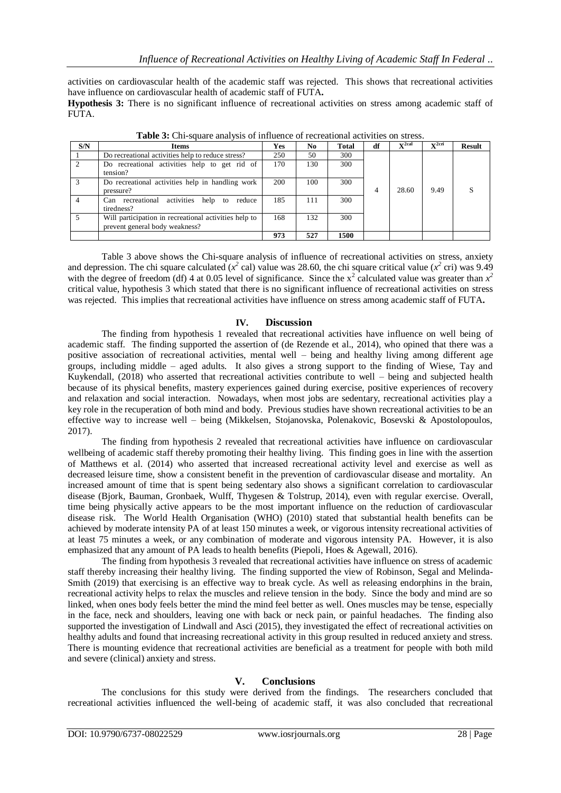activities on cardiovascular health of the academic staff was rejected. This shows that recreational activities have influence on cardiovascular health of academic staff of FUTA**.**

**Hypothesis 3:** There is no significant influence of recreational activities on stress among academic staff of FUTA.

| S/N | <b>Items</b>                                                                            | Yes | N <sub>0</sub> | <b>Total</b> | df | $\nabla^2$ cal | $\nabla^2$ cri | <b>Result</b> |
|-----|-----------------------------------------------------------------------------------------|-----|----------------|--------------|----|----------------|----------------|---------------|
|     | Do recreational activities help to reduce stress?                                       | 250 | 50             | 300          |    |                |                |               |
|     | Do recreational activities help to get rid of<br>tension?                               | 170 | 130            | 300          |    |                |                |               |
|     | Do recreational activities help in handling work<br>pressure?                           | 200 | 100            | 300          | 4  | 28.60          | 9.49           |               |
|     | Can recreational activities help to reduce<br>tiredness?                                | 185 | 111            | 300          |    |                |                |               |
|     | Will participation in recreational activities help to<br>prevent general body weakness? | 168 | 132            | 300          |    |                |                |               |
|     |                                                                                         | 973 | 527            | 1500         |    |                |                |               |

**Table 3:** Chi-square analysis of influence of recreational activities on stress.

Table 3 above shows the Chi-square analysis of influence of recreational activities on stress, anxiety and depression. The chi square calculated  $(x^2 \text{ cal})$  value was 28.60, the chi square critical value  $(x^2 \text{ cri})$  was 9.49 with the degree of freedom (df) 4 at 0.05 level of significance. Since the  $x^2$  calculated value was greater than  $x^2$ critical value, hypothesis 3 which stated that there is no significant influence of recreational activities on stress was rejected. This implies that recreational activities have influence on stress among academic staff of FUTA**.**

#### **IV. Discussion**

The finding from hypothesis 1 revealed that recreational activities have influence on well being of academic staff. The finding supported the assertion of (de Rezende et al., 2014), who opined that there was a positive association of recreational activities, mental well – being and healthy living among different age groups, including middle – aged adults. It also gives a strong support to the finding of Wiese, Tay and Kuykendall, (2018) who asserted that recreational activities contribute to well – being and subjected health because of its physical benefits, mastery experiences gained during exercise, positive experiences of recovery and relaxation and social interaction. Nowadays, when most jobs are sedentary, recreational activities play a key role in the recuperation of both mind and body. Previous studies have shown recreational activities to be an effective way to increase well – being (Mikkelsen, Stojanovska, Polenakovic, Bosevski & Apostolopoulos, 2017).

The finding from hypothesis 2 revealed that recreational activities have influence on cardiovascular wellbeing of academic staff thereby promoting their healthy living. This finding goes in line with the assertion of Matthews et al. (2014) who asserted that increased recreational activity level and exercise as well as decreased leisure time, show a consistent benefit in the prevention of cardiovascular disease and mortality. An increased amount of time that is spent being sedentary also shows a significant correlation to cardiovascular disease (Bjork, Bauman, Gronbaek, Wulff, Thygesen & Tolstrup, 2014), even with regular exercise. Overall, time being physically active appears to be the most important influence on the reduction of cardiovascular disease risk. The World Health Organisation (WHO) (2010) stated that substantial health benefits can be achieved by moderate intensity PA of at least 150 minutes a week, or vigorous intensity recreational activities of at least 75 minutes a week, or any combination of moderate and vigorous intensity PA. However, it is also emphasized that any amount of PA leads to health benefits (Piepoli, Hoes & Agewall, 2016).

The finding from hypothesis 3 revealed that recreational activities have influence on stress of academic staff thereby increasing their healthy living. The finding supported the view of Robinson, Segal and Melinda-Smith (2019) that exercising is an effective way to break cycle. As well as releasing endorphins in the brain, recreational activity helps to relax the muscles and relieve tension in the body. Since the body and mind are so linked, when ones body feels better the mind the mind feel better as well. Ones muscles may be tense, especially in the face, neck and shoulders, leaving one with back or neck pain, or painful headaches. The finding also supported the investigation of Lindwall and Asci (2015), they investigated the effect of recreational activities on healthy adults and found that increasing recreational activity in this group resulted in reduced anxiety and stress. There is mounting evidence that recreational activities are beneficial as a treatment for people with both mild and severe (clinical) anxiety and stress.

#### **V. Conclusions**

The conclusions for this study were derived from the findings. The researchers concluded that recreational activities influenced the well-being of academic staff, it was also concluded that recreational